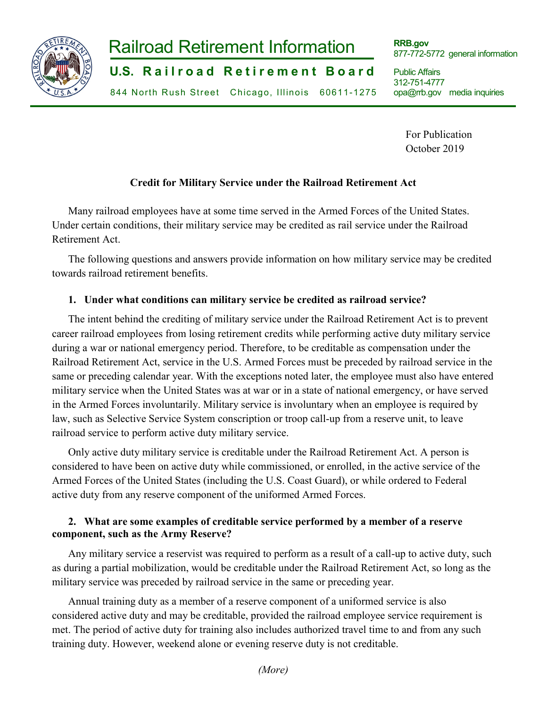

# **-1-**  Railroad Retirement Information

**U.S. Railroad Retirement Board** 

844 North Rush Street Chicago, Illinois 60611-1275

**RRB.gov** 877-772-5772 general information

Public Affairs 312-751-4777 opa@rrb.gov media inquiries

> For Publication October 2019

#### **Credit for Military Service under the Railroad Retirement Act**

Many railroad employees have at some time served in the Armed Forces of the United States. Under certain conditions, their military service may be credited as rail service under the Railroad Retirement Act.

The following questions and answers provide information on how military service may be credited towards railroad retirement benefits.

### **1. Under what conditions can military service be credited as railroad service?**

The intent behind the crediting of military service under the Railroad Retirement Act is to prevent career railroad employees from losing retirement credits while performing active duty military service during a war or national emergency period. Therefore, to be creditable as compensation under the Railroad Retirement Act, service in the U.S. Armed Forces must be preceded by railroad service in the same or preceding calendar year. With the exceptions noted later, the employee must also have entered military service when the United States was at war or in a state of national emergency, or have served in the Armed Forces involuntarily. Military service is involuntary when an employee is required by law, such as Selective Service System conscription or troop call-up from a reserve unit, to leave railroad service to perform active duty military service.

Only active duty military service is creditable under the Railroad Retirement Act. A person is considered to have been on active duty while commissioned, or enrolled, in the active service of the Armed Forces of the United States (including the U.S. Coast Guard), or while ordered to Federal active duty from any reserve component of the uniformed Armed Forces.

#### **2. What are some examples of creditable service performed by a member of a reserve component, such as the Army Reserve?**

Any military service a reservist was required to perform as a result of a call-up to active duty, such as during a partial mobilization, would be creditable under the Railroad Retirement Act, so long as the military service was preceded by railroad service in the same or preceding year.

Annual training duty as a member of a reserve component of a uniformed service is also considered active duty and may be creditable, provided the railroad employee service requirement is met. The period of active duty for training also includes authorized travel time to and from any such training duty. However, weekend alone or evening reserve duty is not creditable.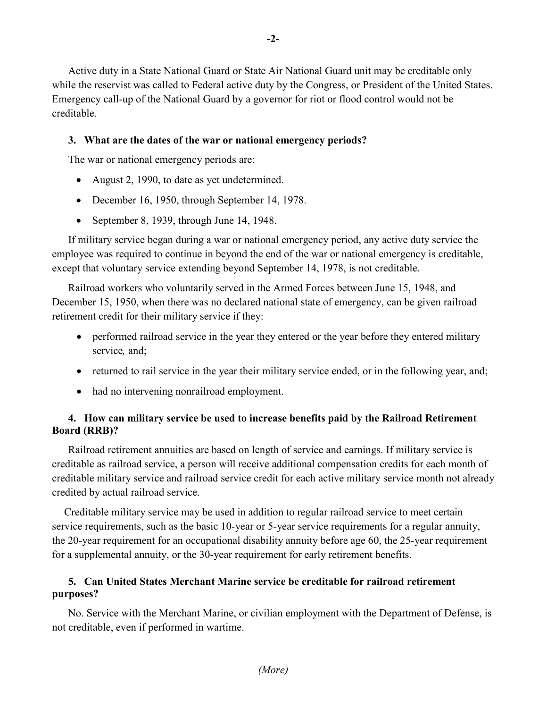Active duty in a State National Guard or State Air National Guard unit may be creditable only while the reservist was called to Federal active duty by the Congress, or President of the United States. Emergency call-up of the National Guard by a governor for riot or flood control would not be creditable.

#### **3. What are the dates of the war or national emergency periods?**

The war or national emergency periods are:

- August 2, 1990, to date as yet undetermined.
- December 16, 1950, through September 14, 1978.
- September 8, 1939, through June 14, 1948.

If military service began during a war or national emergency period, any active duty service the employee was required to continue in beyond the end of the war or national emergency is creditable, except that voluntary service extending beyond September 14, 1978, is not creditable.

Railroad workers who voluntarily served in the Armed Forces between June 15, 1948, and December 15, 1950, when there was no declared national state of emergency, can be given railroad retirement credit for their military service if they:

- performed railroad service in the year they entered or the year before they entered military service*,* and;
- returned to rail service in the year their military service ended, or in the following year, and;
- had no intervening nonrailroad employment.

#### **4. How can military service be used to increase benefits paid by the Railroad Retirement Board (RRB)?**

Railroad retirement annuities are based on length of service and earnings. If military service is creditable as railroad service, a person will receive additional compensation credits for each month of creditable military service and railroad service credit for each active military service month not already credited by actual railroad service.

Creditable military service may be used in addition to regular railroad service to meet certain service requirements, such as the basic 10-year or 5-year service requirements for a regular annuity, the 20-year requirement for an occupational disability annuity before age 60, the 25-year requirement for a supplemental annuity, or the 30-year requirement for early retirement benefits.

#### **5. Can United States Merchant Marine service be creditable for railroad retirement purposes?**

No. Service with the Merchant Marine, or civilian employment with the Department of Defense, is not creditable, even if performed in wartime.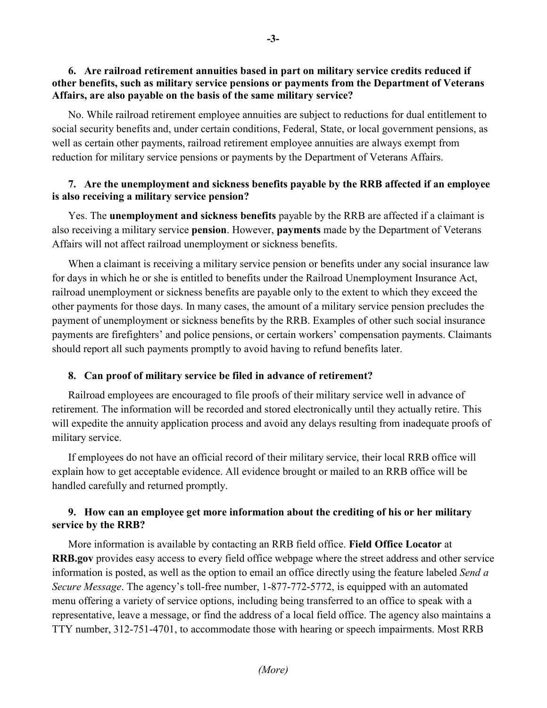No. While railroad retirement employee annuities are subject to reductions for dual entitlement to social security benefits and, under certain conditions, Federal, State, or local government pensions, as well as certain other payments, railroad retirement employee annuities are always exempt from reduction for military service pensions or payments by the Department of Veterans Affairs.

#### **7. Are the unemployment and sickness benefits payable by the RRB affected if an employee is also receiving a military service pension?**

Yes. The **unemployment and sickness benefits** payable by the RRB are affected if a claimant is also receiving a military service **pension**. However, **payments** made by the Department of Veterans Affairs will not affect railroad unemployment or sickness benefits.

When a claimant is receiving a military service pension or benefits under any social insurance law for days in which he or she is entitled to benefits under the Railroad Unemployment Insurance Act, railroad unemployment or sickness benefits are payable only to the extent to which they exceed the other payments for those days. In many cases, the amount of a military service pension precludes the payment of unemployment or sickness benefits by the RRB. Examples of other such social insurance payments are firefighters' and police pensions, or certain workers' compensation payments. Claimants should report all such payments promptly to avoid having to refund benefits later.

#### **8. Can proof of military service be filed in advance of retirement?**

Railroad employees are encouraged to file proofs of their military service well in advance of retirement. The information will be recorded and stored electronically until they actually retire. This will expedite the annuity application process and avoid any delays resulting from inadequate proofs of military service.

If employees do not have an official record of their military service, their local RRB office will explain how to get acceptable evidence. All evidence brought or mailed to an RRB office will be handled carefully and returned promptly.

## **9. How can an employee get more information about the crediting of his or her military service by the RRB?**

More information is available by contacting an RRB field office. **Field Office Locator** at **RRB.gov** provides easy access to every field office webpage where the street address and other service information is posted, as well as the option to email an office directly using the feature labeled *Send a Secure Message*. The agency's toll-free number, 1-877-772-5772, is equipped with an automated menu offering a variety of service options, including being transferred to an office to speak with a representative, leave a message, or find the address of a local field office. The agency also maintains a TTY number, 312-751-4701, to accommodate those with hearing or speech impairments. Most RRB